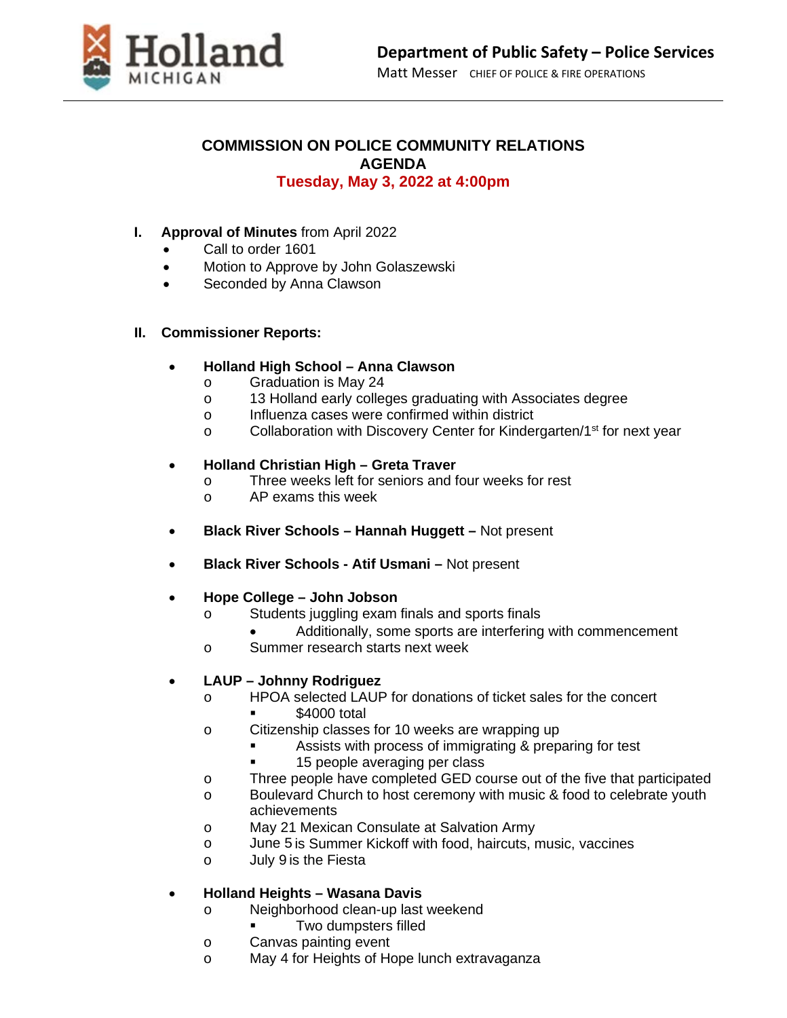

#### **COMMISSION ON POLICE COMMUNITY RELATIONS AGENDA Tuesday, May 3, 2022 at 4:00pm**

#### **I. Approval of Minutes** from April 2022

- Call to order 1601
- Motion to Approve by John Golaszewski
- Seconded by Anna Clawson

#### **II. Commissioner Reports:**

#### • **Holland High School – Anna Clawson**

- o Graduation is May 24
- o 13 Holland early colleges graduating with Associates degree
- o Influenza cases were confirmed within district<br>
c Collaboration with Discovery Center for Kinder
- Collaboration with Discovery Center for Kindergarten/1<sup>st</sup> for next year

## • **Holland Christian High – Greta Traver**

- o Three weeks left for seniors and four weeks for rest
- o AP exams this week
- **Black River Schools – Hannah Huggett –** Not present
- **Black River Schools - Atif Usmani –** Not present

## • **Hope College – John Jobson**

- o Students juggling exam finals and sports finals
	- Additionally, some sports are interfering with commencement
- o Summer research starts next week

## • **LAUP – Johnny Rodriguez**

- o HPOA selected LAUP for donations of ticket sales for the concert
	- \$4000 total
- o Citizenship classes for 10 weeks are wrapping up
	- Assists with process of immigrating & preparing for test
	- 15 people averaging per class
- o Three people have completed GED course out of the five that participated
- o Boulevard Church to host ceremony with music & food to celebrate youth
	- achievements
- o May 21 Mexican Consulate at Salvation Army
- o June 5 is Summer Kickoff with food, haircuts, music, vaccines
- o July 9 is the Fiesta

## • **Holland Heights – Wasana Davis**

- o Neighborhood clean-up last weekend
- Two dumpsters filled
- o Canvas painting event
- o May 4 for Heights of Hope lunch extravaganza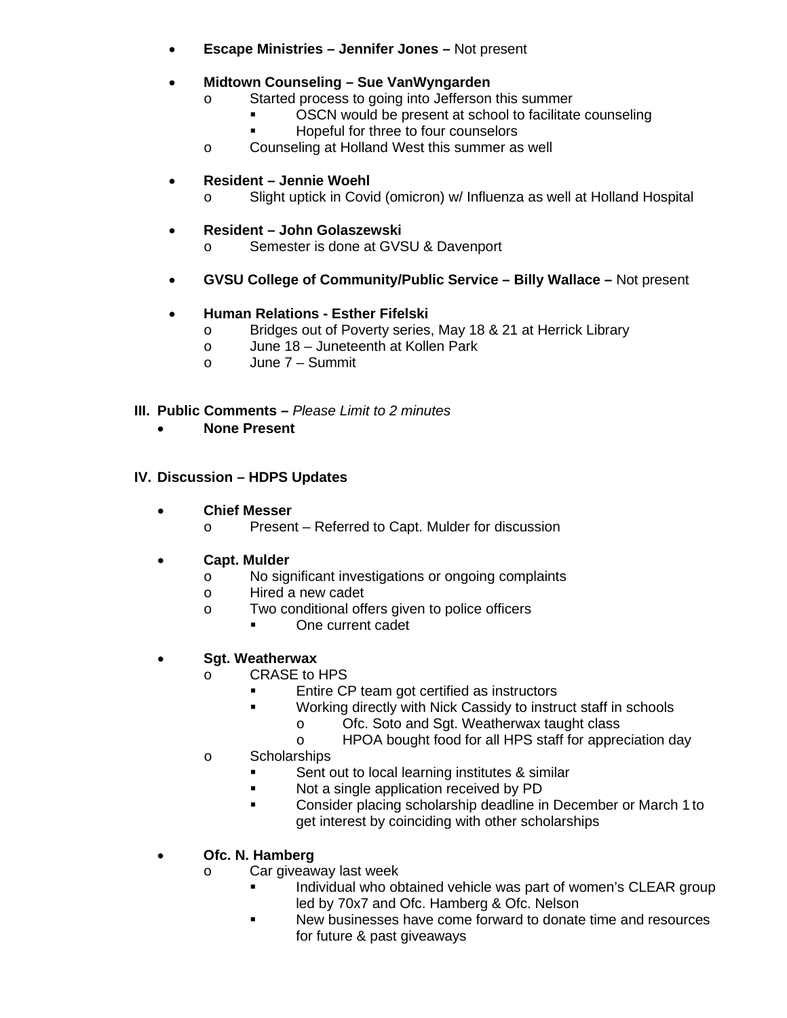- **Escape Ministries – Jennifer Jones –** Not present
- **Midtown Counseling – Sue VanWyngarden**
	- o Started process to going into Jefferson this summer<br>OSCN would be present at school to facilitate
		- OSCN would be present at school to facilitate counseling
		- Hopeful for three to four counselors
	- o Counseling at Holland West this summer as well

## • **Resident – Jennie Woehl**

o Slight uptick in Covid (omicron) w/ Influenza as well at Holland Hospital

# • **Resident – John Golaszewski**

- o Semester is done at GVSU & Davenport
- **GVSU College of Community/Public Service – Billy Wallace –** Not present

# • **Human Relations - Esther Fifelski**

- o Bridges out of Poverty series, May 18 & 21 at Herrick Library<br>o June 18 Juneteenth at Kollen Park
- June 18 Juneteenth at Kollen Park
- o June 7 Summit

## **III. Public Comments –** *Please Limit to 2 minutes*

• **None Present**

## **IV. Discussion – HDPS Updates**

- **Chief Messer**
	- o Present Referred to Capt. Mulder for discussion

## • **Capt. Mulder**

- o No significant investigations or ongoing complaints
- o Hired a new cadet
- o Two conditional offers given to police officers
	- One current cadet

## • **Sgt. Weatherwax**

- o CRASE to HPS
	- **Entire CP team got certified as instructors**<br>**EXECUTE:** Working directly with Nick Cassidy to instru
	- Working directly with Nick Cassidy to instruct staff in schools
		- o Ofc. Soto and Sgt. Weatherwax taught class<br>
		o HPOA bought food for all HPS staff for appre
		- HPOA bought food for all HPS staff for appreciation day
- o Scholarships
	- Sent out to local learning institutes & similar
	- Not a single application received by PD
	- **Consider placing scholarship deadline in December or March 1 to** get interest by coinciding with other scholarships

# • **Ofc. N. Hamberg**

- o Car giveaway last week
	- Individual who obtained vehicle was part of women's CLEAR group led by 70x7 and Ofc. Hamberg & Ofc. Nelson
	- New businesses have come forward to donate time and resources for future & past giveaways